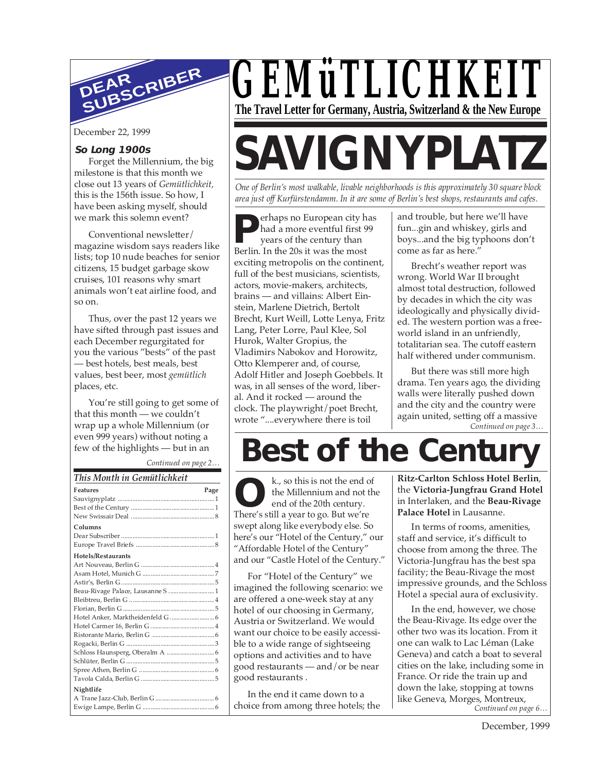

December 22, 1999

#### **So Long 1900s**

Forget the Millennium, the big milestone is that this month we close out 13 years of *Gemütlichkeit,* this is the 156th issue. So how, I have been asking myself, should we mark this solemn event?

Conventional newsletter/ magazine wisdom says readers like lists; top 10 nude beaches for senior citizens, 15 budget garbage skow cruises, 101 reasons why smart animals won't eat airline food, and so on.

Thus, over the past 12 years we have sifted through past issues and each December regurgitated for you the various "bests" of the past — best hotels, best meals, best values, best beer, most *gemütlich* places, etc.

You're still going to get some of that this month — we couldn't wrap up a whole Millennium (or even 999 years) without noting a few of the highlights — but in an

*Continued on page 2…*

| This Month in Gemütlichkeit       |  |  |  |
|-----------------------------------|--|--|--|
| <b>Features</b><br>Page           |  |  |  |
|                                   |  |  |  |
|                                   |  |  |  |
|                                   |  |  |  |
| Columns                           |  |  |  |
|                                   |  |  |  |
|                                   |  |  |  |
| <b>Hotels/Restaurants</b>         |  |  |  |
|                                   |  |  |  |
|                                   |  |  |  |
|                                   |  |  |  |
| Beau-Rivage Palace, Lausanne S  1 |  |  |  |
|                                   |  |  |  |
|                                   |  |  |  |
|                                   |  |  |  |
|                                   |  |  |  |
|                                   |  |  |  |
|                                   |  |  |  |
|                                   |  |  |  |
|                                   |  |  |  |
|                                   |  |  |  |
|                                   |  |  |  |
| Nightlife                         |  |  |  |
|                                   |  |  |  |
|                                   |  |  |  |

## *GEMüTLICHKEIT* **The Travel Letter for Germany, Austria, Switzerland & the New Europe**

# **SAVIGNYPLATZ**

*One of Berlin's most walkable, livable neighborhoods is this approximately 30 square block area just off Kurfürstendamm. In it are some of Berlin's best shops, restaurants and cafes.*

**P** had a more eventful first <sup>9</sup> years of the century than Berlin. In the 20s it was the most erhaps no European city has had a more eventful first 99 years of the century than exciting metropolis on the continent, full of the best musicians, scientists, actors, movie-makers, architects, brains — and villains: Albert Einstein, Marlene Dietrich, Bertolt Brecht, Kurt Weill, Lotte Lenya, Fritz Lang, Peter Lorre, Paul Klee, Sol Hurok, Walter Gropius, the Vladimirs Nabokov and Horowitz, Otto Klemperer and, of course, Adolf Hitler and Joseph Goebbels. It was, in all senses of the word, liberal. And it rocked — around the clock. The playwright/poet Brecht, wrote "....everywhere there is toil

and trouble, but here we'll have fun...gin and whiskey, girls and boys...and the big typhoons don't come as far as here."

Brecht's weather report was wrong. World War II brought almost total destruction, followed by decades in which the city was ideologically and physically divided. The western portion was a freeworld island in an unfriendly, totalitarian sea. The cutoff eastern half withered under communism.

*Continued on page 3…* But there was still more high drama. Ten years ago, the dividing walls were literally pushed down and the city and the country were again united, setting off a massive

## **Best of the Century**

k., so this is not the end of the Millennium and not the end of the 20th century. **External** Responsive to the Millennium and not the Millennium and not the 20th century.<br>There's still a year to go. But we're swept along like everybody else. So here's our "Hotel of the Century," our "Affordable Hotel of the Century" and our "Castle Hotel of the Century."

For "Hotel of the Century" we imagined the following scenario: we are offered a one-week stay at any hotel of our choosing in Germany, Austria or Switzerland. We would want our choice to be easily accessible to a wide range of sightseeing options and activities and to have good restaurants — and/or be near good restaurants .

In the end it came down to a choice from among three hotels; the **Ritz-Carlton Schloss Hotel Berlin**, the **Victoria-Jungfrau Grand Hotel** in Interlaken, and the **Beau-Rivage Palace Hotel** in Lausanne.

In terms of rooms, amenities, staff and service, it's difficult to choose from among the three. The Victoria-Jungfrau has the best spa facility; the Beau-Rivage the most impressive grounds, and the Schloss Hotel a special aura of exclusivity.

*Continued on page 6…* In the end, however, we chose the Beau-Rivage. Its edge over the other two was its location. From it one can walk to Lac Léman (Lake Geneva) and catch a boat to several cities on the lake, including some in France. Or ride the train up and down the lake, stopping at towns like Geneva, Morges, Montreux,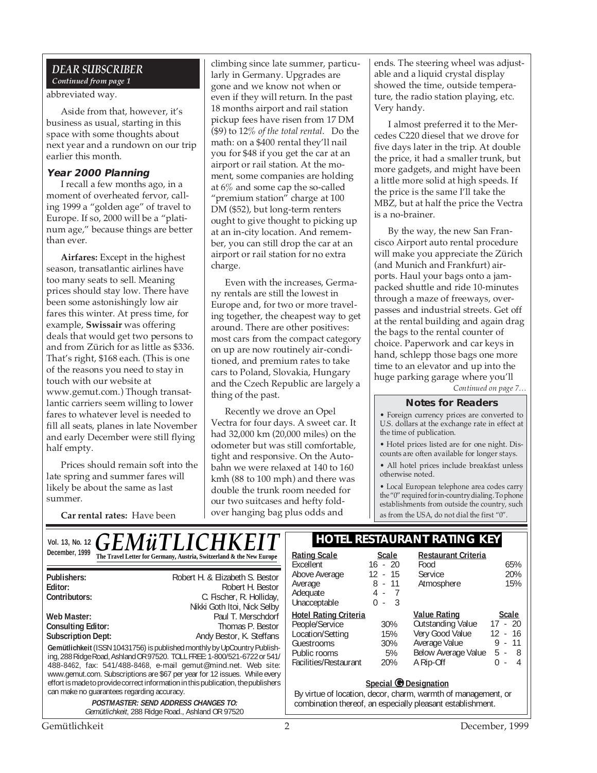#### *DEAR SUBSCRIBER Continued from page 1*

#### abbreviated way.

Aside from that, however, it's business as usual, starting in this space with some thoughts about next year and a rundown on our trip earlier this month.

#### **Year 2000 Planning**

I recall a few months ago, in a moment of overheated fervor, calling 1999 a "golden age" of travel to Europe. If so, 2000 will be a "platinum age," because things are better than ever.

**Airfares:** Except in the highest season, transatlantic airlines have too many seats to sell. Meaning prices should stay low. There have been some astonishingly low air fares this winter. At press time, for example, **Swissair** was offering deals that would get two persons to and from Zürich for as little as \$336. That's right, \$168 each. (This is one of the reasons you need to stay in touch with our website at www.gemut.com.) Though transatlantic carriers seem willing to lower fares to whatever level is needed to fill all seats, planes in late November and early December were still flying half empty.

Prices should remain soft into the late spring and summer fares will likely be about the same as last summer.

**Car rental rates:** Have been

climbing since late summer, particularly in Germany. Upgrades are gone and we know not when or even if they will return. In the past 18 months airport and rail station pickup fees have risen from 17 DM (\$9) to 12% *of the total rental*. Do the math: on a \$400 rental they'll nail you for \$48 if you get the car at an airport or rail station. At the moment, some companies are holding at 6% and some cap the so-called "premium station" charge at 100 DM (\$52), but long-term renters ought to give thought to picking up at an in-city location. And remember, you can still drop the car at an airport or rail station for no extra charge.

Even with the increases, Germany rentals are still the lowest in Europe and, for two or more traveling together, the cheapest way to get around. There are other positives: most cars from the compact category on up are now routinely air-conditioned, and premium rates to take cars to Poland, Slovakia, Hungary and the Czech Republic are largely a thing of the past.

Recently we drove an Opel Vectra for four days. A sweet car. It had 32,000 km (20,000 miles) on the odometer but was still comfortable, tight and responsive. On the Autobahn we were relaxed at 140 to 160 kmh (88 to 100 mph) and there was double the trunk room needed for our two suitcases and hefty foldover hanging bag plus odds and

ends. The steering wheel was adjustable and a liquid crystal display showed the time, outside temperature, the radio station playing, etc. Very handy.

I almost preferred it to the Mercedes C220 diesel that we drove for five days later in the trip. At double the price, it had a smaller trunk, but more gadgets, and might have been a little more solid at high speeds. If the price is the same I'll take the MBZ, but at half the price the Vectra is a no-brainer.

By the way, the new San Francisco Airport auto rental procedure will make you appreciate the Zürich (and Munich and Frankfurt) airports. Haul your bags onto a jampacked shuttle and ride 10-minutes through a maze of freeways, overpasses and industrial streets. Get off at the rental building and again drag the bags to the rental counter of choice. Paperwork and car keys in hand, schlepp those bags one more time to an elevator and up into the huge parking garage where you'll

*Continued on page 7…*

#### **Notes for Readers**

• Foreign currency prices are converted to U.S. dollars at the exchange rate in effect at the time of publication.

• Hotel prices listed are for one night. Discounts are often available for longer stays.

• All hotel prices include breakfast unless otherwise noted.

• Local European telephone area codes carry the "0" required for in-country dialing. To phone establishments from outside the country, such as from the USA, do not dial the first "0".

| <b>HOTEL RESTAURANT RATING KEY</b><br>VOI. 13, No. 12 $GEM\ddot{u}TLICHKEIT$                                                                                                                                                                                                                                    |                                                                                                                                                                                                                                                                                             |                                                                                                                                                             |                                            |                                                                                                                         |                                                                                       |
|-----------------------------------------------------------------------------------------------------------------------------------------------------------------------------------------------------------------------------------------------------------------------------------------------------------------|---------------------------------------------------------------------------------------------------------------------------------------------------------------------------------------------------------------------------------------------------------------------------------------------|-------------------------------------------------------------------------------------------------------------------------------------------------------------|--------------------------------------------|-------------------------------------------------------------------------------------------------------------------------|---------------------------------------------------------------------------------------|
| December, 1999                                                                                                                                                                                                                                                                                                  | The Travel Letter for Germany, Austria, Switzerland & the New Europe                                                                                                                                                                                                                        | <b>Rating Scale</b><br>Excellent                                                                                                                            | <b>Scale</b><br>$16 - 20$                  | <b>Restaurant Criteria</b><br>Food                                                                                      | 65%                                                                                   |
| Publishers:<br>Editor:<br>Contributors:                                                                                                                                                                                                                                                                         | Robert H. & Elizabeth S. Bestor<br>Robert H. Bestor<br>C. Fischer, R. Holliday,<br>Nikki Goth Itoi, Nick Selby                                                                                                                                                                              | Above Average<br>Average<br>Adequate<br>Unacceptable                                                                                                        | 12 - 15<br>$8 - 11$<br>4 -<br>- 3<br>$0 -$ | <b>Service</b><br>Atmosphere                                                                                            | 20%<br>15%                                                                            |
| Web Master:<br><b>Consulting Editor:</b><br><b>Subscription Dept:</b>                                                                                                                                                                                                                                           | Paul T. Merschdorf<br>Thomas P. Bestor<br>Andy Bestor, K. Steffans<br>Gemütlichkeit (ISSN 10431756) is published monthly by UpCountry Publish-<br>ing, 288 Ridge Road, Ashland OR 97520. TOLL FREE: 1-800/521-6722 or 541/<br>488-8462, fax: 541/488-8468, e-mail gemut@mind.net. Web site: | <b>Hotel Rating Criteria</b><br>People/Service<br>Location/Setting<br>Guestrooms<br>Public rooms<br>Facilities/Restaurant                                   | 30%<br>15%<br>30%<br>5%<br>20%             | <b>Value Rating</b><br><b>Outstanding Value</b><br>Very Good Value<br>Average Value<br>Below Average Value<br>A Rip-Off | Scale<br>$17 - 20$<br>12<br>- 16<br>$9 -$<br>11<br>$5 - 8$<br>$\Omega$<br>4<br>$\sim$ |
| www.gemut.com. Subscriptions are \$67 per year for 12 issues. While every<br>effort is made to provide correct information in this publication, the publishers<br>can make no quarantees regarding accuracy.<br><b>POSTMASTER: SEND ADDRESS CHANGES TO:</b><br>Gemütlichkeit, 288 Ridge Road., Ashland OR 97520 |                                                                                                                                                                                                                                                                                             | Special <i>O</i> Designation<br>By virtue of location, decor, charm, warmth of management, or<br>combination thereof, an especially pleasant establishment. |                                            |                                                                                                                         |                                                                                       |
| Gemütlichkeit<br>December, 1999                                                                                                                                                                                                                                                                                 |                                                                                                                                                                                                                                                                                             |                                                                                                                                                             |                                            |                                                                                                                         |                                                                                       |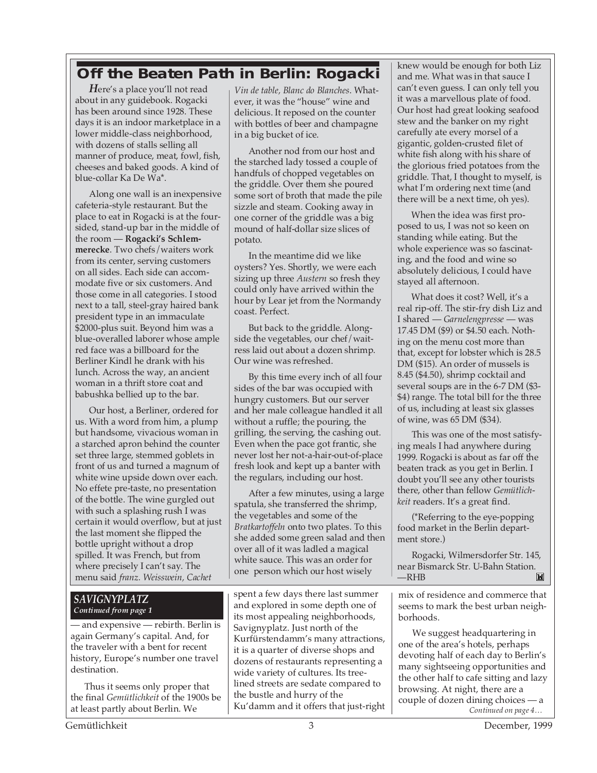### **Off the Beaten Path in Berlin: Rogacki**

*H*ere's a place you'll not read about in any guidebook. Rogacki has been around since 1928. These days it is an indoor marketplace in a lower middle-class neighborhood, with dozens of stalls selling all manner of produce, meat, fowl, fish, cheeses and baked goods. A kind of blue-collar Ka De Wa\*.

Along one wall is an inexpensive cafeteria-style restaurant. But the place to eat in Rogacki is at the foursided, stand-up bar in the middle of the room — **Rogacki's Schlemmerecke**. Two chefs/waiters work from its center, serving customers on all sides. Each side can accommodate five or six customers. And those come in all categories. I stood next to a tall, steel-gray haired bank president type in an immaculate \$2000-plus suit. Beyond him was a blue-overalled laborer whose ample red face was a billboard for the Berliner Kindl he drank with his lunch. Across the way, an ancient woman in a thrift store coat and babushka bellied up to the bar.

Our host, a Berliner, ordered for us. With a word from him, a plump but handsome, vivacious woman in a starched apron behind the counter set three large, stemmed goblets in front of us and turned a magnum of white wine upside down over each. No effete pre-taste, no presentation of the bottle. The wine gurgled out with such a splashing rush I was certain it would overflow, but at just the last moment she flipped the bottle upright without a drop spilled. It was French, but from where precisely I can't say. The menu said *franz. Weisswein, Cachet*

#### *SAVIGNYPLATZ Continued from page 1*

— and expensive — rebirth. Berlin is again Germany's capital. And, for the traveler with a bent for recent history, Europe's number one travel destination.

Thus it seems only proper that the final *Gemütlichkeit* of the 1900s be at least partly about Berlin. We

*Vin de table, Blanc do Blanches*. Whatever, it was the "house" wine and delicious. It reposed on the counter with bottles of beer and champagne in a big bucket of ice.

Another nod from our host and the starched lady tossed a couple of handfuls of chopped vegetables on the griddle. Over them she poured some sort of broth that made the pile sizzle and steam. Cooking away in one corner of the griddle was a big mound of half-dollar size slices of potato.

In the meantime did we like oysters? Yes. Shortly, we were each sizing up three *Austern* so fresh they could only have arrived within the hour by Lear jet from the Normandy coast. Perfect.

But back to the griddle. Alongside the vegetables, our chef/waitress laid out about a dozen shrimp. Our wine was refreshed.

By this time every inch of all four sides of the bar was occupied with hungry customers. But our server and her male colleague handled it all without a ruffle; the pouring, the grilling, the serving, the cashing out. Even when the pace got frantic, she never lost her not-a-hair-out-of-place fresh look and kept up a banter with the regulars, including our host.

After a few minutes, using a large spatula, she transferred the shrimp, the vegetables and some of the *Bratkartoffeln* onto two plates. To this she added some green salad and then over all of it was ladled a magical white sauce. This was an order for one person which our host wisely

spent a few days there last summer and explored in some depth one of its most appealing neighborhoods, Savignyplatz. Just north of the Kurfürstendamm's many attractions, it is a quarter of diverse shops and dozens of restaurants representing a wide variety of cultures. Its treelined streets are sedate compared to the bustle and hurry of the Ku'damm and it offers that just-right knew would be enough for both Liz and me. What was in that sauce I can't even guess. I can only tell you it was a marvellous plate of food. Our host had great looking seafood stew and the banker on my right carefully ate every morsel of a gigantic, golden-crusted filet of white fish along with his share of the glorious fried potatoes from the griddle. That, I thought to myself, is what I'm ordering next time (and there will be a next time, oh yes).

When the idea was first proposed to us, I was not so keen on standing while eating. But the whole experience was so fascinating, and the food and wine so absolutely delicious, I could have stayed all afternoon.

What does it cost? Well, it's a real rip-off. The stir-fry dish Liz and I shared — *Garnelengpresse* — was 17.45 DM (\$9) or \$4.50 each. Nothing on the menu cost more than that, except for lobster which is 28.5 DM (\$15). An order of mussels is 8.45 (\$4.50), shrimp cocktail and several soups are in the 6-7 DM (\$3- \$4) range. The total bill for the three of us, including at least six glasses of wine, was 65 DM (\$34).

This was one of the most satisfying meals I had anywhere during 1999. Rogacki is about as far off the beaten track as you get in Berlin. I doubt you'll see any other tourists there, other than fellow *Gemütlichkeit* readers. It's a great find.

(\*Referring to the eye-popping food market in the Berlin department store.)

Rogacki, Wilmersdorfer Str. 145, near Bismarck Str. U-Bahn Station.<br>—RHB  $-RHB$ 

mix of residence and commerce that seems to mark the best urban neighborhoods.

*Continued on page 4…* We suggest headquartering in one of the area's hotels, perhaps devoting half of each day to Berlin's many sightseeing opportunities and the other half to cafe sitting and lazy browsing. At night, there are a couple of dozen dining choices — a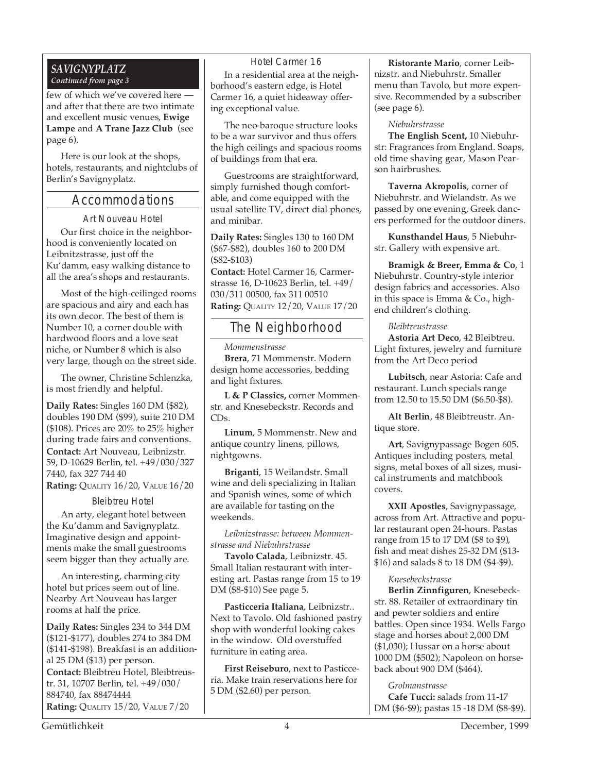#### *SAVIGNYPLATZ Continued from page 3*

few of which we've covered here and after that there are two intimate and excellent music venues, **Ewige Lampe** and **A Trane Jazz Club** (see page 6).

Here is our look at the shops, hotels, restaurants, and nightclubs of Berlin's Savignyplatz.

#### Accommodations

Art Nouveau Hotel

Our first choice in the neighborhood is conveniently located on Leibnitzstrasse, just off the Ku'damm, easy walking distance to all the area's shops and restaurants.

Most of the high-ceilinged rooms are spacious and airy and each has its own decor. The best of them is Number 10, a corner double with hardwood floors and a love seat niche, or Number 8 which is also very large, though on the street side.

The owner, Christine Schlenzka, is most friendly and helpful.

**Daily Rates:** Singles 160 DM (\$82), doubles 190 DM (\$99), suite 210 DM (\$108). Prices are 20% to 25% higher during trade fairs and conventions. **Contact:** Art Nouveau, Leibnizstr. 59, D-10629 Berlin, tel. +49/030/327 7440, fax 327 744 40 **Rating:** QUALITY 16/20, VALUE 16/20

#### Bleibtreu Hotel

An arty, elegant hotel between the Ku'damm and Savignyplatz. Imaginative design and appointments make the small guestrooms seem bigger than they actually are.

An interesting, charming city hotel but prices seem out of line. Nearby Art Nouveau has larger rooms at half the price.

**Daily Rates:** Singles 234 to 344 DM (\$121-\$177), doubles 274 to 384 DM (\$141-\$198). Breakfast is an additional 25 DM (\$13) per person. **Contact:** Bleibtreu Hotel, Bleibtreustr. 31, 10707 Berlin, tel. +49/030/ 884740, fax 88474444 **Rating:** QUALITY 15/20, VALUE 7/20

Hotel Carmer 16 In a residential area at the neighborhood's eastern edge, is Hotel Carmer 16, a quiet hideaway offering exceptional value.

The neo-baroque structure looks to be a war survivor and thus offers the high ceilings and spacious rooms of buildings from that era.

Guestrooms are straightforward, simply furnished though comfortable, and come equipped with the usual satellite TV, direct dial phones, and minibar.

**Daily Rates:** Singles 130 to 160 DM (\$67-\$82), doubles 160 to 200 DM (\$82-\$103)

**Contact:** Hotel Carmer 16, Carmerstrasse 16, D-10623 Berlin, tel. +49/ 030/311 00500, fax 311 00510 **Rating:** QUALITY 12/20, VALUE 17/20

#### The Neighborhood

*Mommenstrasse*

**Brera**, 71 Mommenstr. Modern design home accessories, bedding and light fixtures.

**L & P Classics,** corner Mommenstr. and Knesebeckstr. Records and  $CDs$ 

**Linum**, 5 Mommenstr. New and antique country linens, pillows, nightgowns.

**Briganti**, 15 Weilandstr. Small wine and deli specializing in Italian and Spanish wines, some of which are available for tasting on the weekends.

*Leibnizstrasse: between Mommenstrasse and Niebuhrstrasse*

**Tavolo Calada**, Leibnizstr. 45. Small Italian restaurant with interesting art. Pastas range from 15 to 19 DM (\$8-\$10) See page 5.

**Pasticceria Italiana**, Leibnizstr.. Next to Tavolo. Old fashioned pastry shop with wonderful looking cakes in the window. Old overstuffed furniture in eating area.

**First Reiseburo**, next to Pasticceria. Make train reservations here for 5 DM (\$2.60) per person.

**Ristorante Mario**, corner Leibnizstr. and Niebuhrstr. Smaller menu than Tavolo, but more expensive. Recommended by a subscriber (see page 6).

#### *Niebuhrstrasse*

**The English Scent,** 10 Niebuhrstr: Fragrances from England. Soaps, old time shaving gear, Mason Pearson hairbrushes.

**Taverna Akropolis**, corner of Niebuhrstr. and Wielandstr. As we passed by one evening, Greek dancers performed for the outdoor diners.

**Kunsthandel Haus**, 5 Niebuhrstr. Gallery with expensive art.

**Bramigk & Breer, Emma & Co**, 1 Niebuhrstr. Country-style interior design fabrics and accessories. Also in this space is Emma & Co., highend children's clothing.

#### *Bleibtreustrasse*

**Astoria Art Deco**, 42 Bleibtreu. Light fixtures, jewelry and furniture from the Art Deco period

**Lubitsch**, near Astoria: Cafe and restaurant. Lunch specials range from 12.50 to 15.50 DM (\$6.50-\$8).

**Alt Berlin**, 48 Bleibtreustr. Antique store.

**Art**, Savignypassage Bogen 605. Antiques including posters, metal signs, metal boxes of all sizes, musical instruments and matchbook covers.

**XXII Apostles**, Savignypassage, across from Art. Attractive and popular restaurant open 24-hours. Pastas range from 15 to 17 DM (\$8 to \$9), fish and meat dishes 25-32 DM (\$13- \$16) and salads 8 to 18 DM (\$4-\$9).

#### *Knesebeckstrasse*

**Berlin Zinnfiguren**, Knesebeckstr. 88. Retailer of extraordinary tin and pewter soldiers and entire battles. Open since 1934. Wells Fargo stage and horses about 2,000 DM (\$1,030); Hussar on a horse about 1000 DM (\$502); Napoleon on horseback about 900 DM (\$464).

#### *Grolmanstrasse*

**Cafe Tucci:** salads from 11-17 DM (\$6-\$9); pastas 15 -18 DM (\$8-\$9).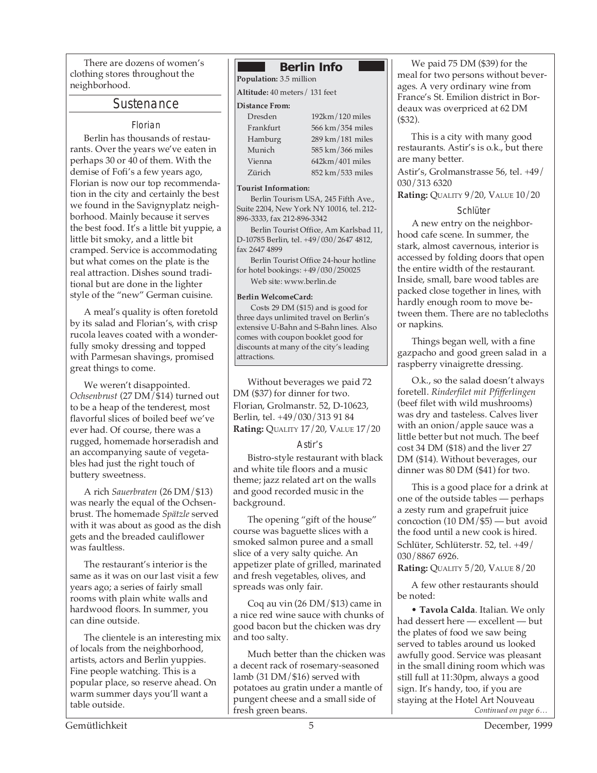There are dozens of women's clothing stores throughout the neighborhood.

#### Sustenance

#### Florian

Berlin has thousands of restaurants. Over the years we've eaten in perhaps 30 or 40 of them. With the demise of Fofi's a few years ago, Florian is now our top recommendation in the city and certainly the best we found in the Savignyplatz neighborhood. Mainly because it serves the best food. It's a little bit yuppie, a little bit smoky, and a little bit cramped. Service is accommodating but what comes on the plate is the real attraction. Dishes sound traditional but are done in the lighter style of the "new" German cuisine.

A meal's quality is often foretold by its salad and Florian's, with crisp rucola leaves coated with a wonderfully smoky dressing and topped with Parmesan shavings, promised great things to come.

We weren't disappointed. *Ochsenbrust* (27 DM/\$14) turned out to be a heap of the tenderest, most flavorful slices of boiled beef we've ever had. Of course, there was a rugged, homemade horseradish and an accompanying saute of vegetables had just the right touch of buttery sweetness.

A rich *Sauerbraten* (26 DM/\$13) was nearly the equal of the Ochsenbrust. The homemade *Spätzle* served with it was about as good as the dish gets and the breaded cauliflower was faultless.

The restaurant's interior is the same as it was on our last visit a few years ago; a series of fairly small rooms with plain white walls and hardwood floors. In summer, you can dine outside.

The clientele is an interesting mix of locals from the neighborhood, artists, actors and Berlin yuppies. Fine people watching. This is a popular place, so reserve ahead. On warm summer days you'll want a table outside.

#### **Berlin Info**

**Population:** 3.5 million

**Altitude:** 40 meters/ 131 feet

#### **Distance From:**

| Dresden   | $192km/120$ miles  |
|-----------|--------------------|
| Frankfurt | 566 km/354 miles   |
| Hamburg   | 289 km/181 miles   |
| Munich    | 585 km / 366 miles |
| Vienna    | $642km/401$ miles  |
| Zürich    | 852 km/533 miles   |

#### **Tourist Information:**

Berlin Tourism USA, 245 Fifth Ave., Suite 2204, New York NY 10016, tel. 212- 896-3333, fax 212-896-3342

Berlin Tourist Office, Am Karlsbad 11, D-10785 Berlin, tel. +49/030/2647 4812, fax 2647 4899

Berlin Tourist Office 24-hour hotline for hotel bookings: +49/030/250025 Web site: www.berlin.de

#### **Berlin WelcomeCard:**

Costs 29 DM (\$15) and is good for three days unlimited travel on Berlin's extensive U-Bahn and S-Bahn lines. Also comes with coupon booklet good for discounts at many of the city's leading attractions.

Without beverages we paid 72 DM (\$37) for dinner for two. Florian, Grolmanstr. 52, D-10623, Berlin, tel. +49/030/313 91 84 **Rating:** QUALITY 17/20, VALUE 17/20

#### Astir's

Bistro-style restaurant with black and white tile floors and a music theme; jazz related art on the walls and good recorded music in the background.

The opening "gift of the house" course was baguette slices with a smoked salmon puree and a small slice of a very salty quiche. An appetizer plate of grilled, marinated and fresh vegetables, olives, and spreads was only fair.

Coq au vin (26 DM/\$13) came in a nice red wine sauce with chunks of good bacon but the chicken was dry and too salty.

Much better than the chicken was a decent rack of rosemary-seasoned lamb (31 DM/\$16) served with potatoes au gratin under a mantle of pungent cheese and a small side of fresh green beans.

We paid 75 DM (\$39) for the meal for two persons without beverages. A very ordinary wine from France's St. Emilion district in Bordeaux was overpriced at 62 DM (\$32).

This is a city with many good restaurants. Astir's is o.k., but there are many better.

Astir's, Grolmanstrasse 56, tel. +49/ 030/313 6320

**Rating:** QUALITY 9/20, VALUE 10/20

#### **Schlüter**

A new entry on the neighborhood cafe scene. In summer, the stark, almost cavernous, interior is accessed by folding doors that open the entire width of the restaurant. Inside, small, bare wood tables are packed close together in lines, with hardly enough room to move between them. There are no tablecloths or napkins.

Things began well, with a fine gazpacho and good green salad in a raspberry vinaigrette dressing.

O.k., so the salad doesn't always foretell. *Rinderfilet mit Pfifferlingen* (beef filet with wild mushrooms) was dry and tasteless. Calves liver with an onion/apple sauce was a little better but not much. The beef cost 34 DM (\$18) and the liver 27 DM (\$14). Without beverages, our dinner was 80 DM (\$41) for two.

This is a good place for a drink at one of the outside tables — perhaps a zesty rum and grapefruit juice concoction (10 DM/\$5) — but avoid the food until a new cook is hired. Schlüter, Schlüterstr. 52, tel. +49/ 030/8867 6926.

**Rating:** QUALITY 5/20, VALUE 8/20

A few other restaurants should be noted:

*Continued on page 6…* • **Tavola Calda**. Italian. We only had dessert here — excellent — but the plates of food we saw being served to tables around us looked awfully good. Service was pleasant in the small dining room which was still full at 11:30pm, always a good sign. It's handy, too, if you are staying at the Hotel Art Nouveau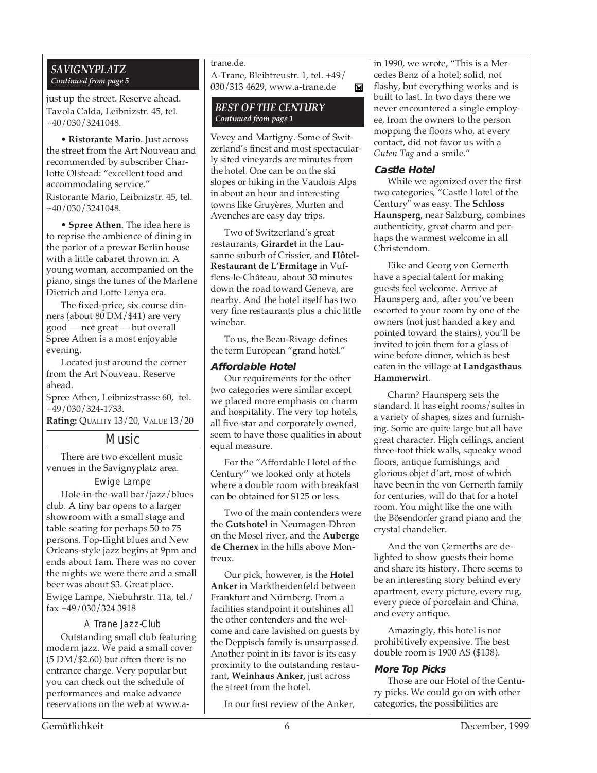#### *SAVIGNYPLATZ Continued from page 5*

just up the street. Reserve ahead. Tavola Calda, Leibnizstr. 45, tel. +40/030/3241048.

• **Ristorante Mario**. Just across the street from the Art Nouveau and recommended by subscriber Charlotte Olstead: "excellent food and accommodating service." Ristorante Mario, Leibnizstr. 45, tel. +40/030/3241048.

• **Spree Athen**. The idea here is to reprise the ambience of dining in the parlor of a prewar Berlin house with a little cabaret thrown in. A young woman, accompanied on the piano, sings the tunes of the Marlene Dietrich and Lotte Lenya era.

The fixed-price, six course dinners (about 80 DM/\$41) are very good — not great — but overall Spree Athen is a most enjoyable evening.

Located just around the corner from the Art Nouveau. Reserve ahead.

Spree Athen, Leibnizstrasse 60, tel. +49/030/324-1733.

**Rating:** QUALITY 13/20, VALUE 13/20

#### Music

There are two excellent music venues in the Savignyplatz area.

#### Ewige Lampe

Hole-in-the-wall bar/jazz/blues club. A tiny bar opens to a larger showroom with a small stage and table seating for perhaps 50 to 75 persons. Top-flight blues and New Orleans-style jazz begins at 9pm and ends about 1am. There was no cover the nights we were there and a small beer was about \$3. Great place. Ewige Lampe, Niebuhrstr. 11a, tel./ fax +49/030/324 3918

#### A Trane Jazz-Club

Outstanding small club featuring modern jazz. We paid a small cover (5 DM/\$2.60) but often there is no entrance charge. Very popular but you can check out the schedule of performances and make advance reservations on the web at www.a-

#### trane.de. A-Trane, Bleibtreustr. 1, tel. +49/ 030/313 4629, www.a-trane.de

#### *BEST OF THE CENTURY Continued from page 1*

Vevey and Martigny. Some of Switzerland's finest and most spectacularly sited vineyards are minutes from the hotel. One can be on the ski slopes or hiking in the Vaudois Alps in about an hour and interesting towns like Gruyères, Murten and Avenches are easy day trips.

Two of Switzerland's great restaurants, **Girardet** in the Lausanne suburb of Crissier, and **Hôtel-Restaurant de L'Ermitage** in Vufflens-le-Château, about 30 minutes down the road toward Geneva, are nearby. And the hotel itself has two very fine restaurants plus a chic little winebar.

To us, the Beau-Rivage defines the term European "grand hotel."

#### **Affordable Hotel**

Our requirements for the other two categories were similar except we placed more emphasis on charm and hospitality. The very top hotels, all five-star and corporately owned, seem to have those qualities in about equal measure.

For the "Affordable Hotel of the Century" we looked only at hotels where a double room with breakfast can be obtained for \$125 or less.

Two of the main contenders were the **Gutshotel** in Neumagen-Dhron on the Mosel river, and the **Auberge de Chernex** in the hills above Montreux.

Our pick, however, is the **Hotel Anker** in Marktheidenfeld between Frankfurt and Nürnberg. From a facilities standpoint it outshines all the other contenders and the welcome and care lavished on guests by the Deppisch family is unsurpassed. Another point in its favor is its easy proximity to the outstanding restaurant, **Weinhaus Anker,** just across the street from the hotel.

In our first review of the Anker,

in 1990, we wrote, "This is a Mercedes Benz of a hotel; solid, not flashy, but everything works and is built to last. In two days there we never encountered a single employee, from the owners to the person mopping the floors who, at every contact, did not favor us with a *Guten Tag* and a smile."

#### **Castle Hotel**

 $\mathbf{M}$ 

While we agonized over the first two categories, "Castle Hotel of the Century" was easy. The **Schloss Haunsperg**, near Salzburg, combines authenticity, great charm and perhaps the warmest welcome in all Christendom.

Eike and Georg von Gernerth have a special talent for making guests feel welcome. Arrive at Haunsperg and, after you've been escorted to your room by one of the owners (not just handed a key and pointed toward the stairs), you'll be invited to join them for a glass of wine before dinner, which is best eaten in the village at **Landgasthaus Hammerwirt**.

Charm? Haunsperg sets the standard. It has eight rooms/suites in a variety of shapes, sizes and furnishing. Some are quite large but all have great character. High ceilings, ancient three-foot thick walls, squeaky wood floors, antique furnishings, and glorious objet d'art, most of which have been in the von Gernerth family for centuries, will do that for a hotel room. You might like the one with the Bösendorfer grand piano and the crystal chandelier.

And the von Gernerths are delighted to show guests their home and share its history. There seems to be an interesting story behind every apartment, every picture, every rug, every piece of porcelain and China, and every antique.

Amazingly, this hotel is not prohibitively expensive. The best double room is 1900 AS (\$138).

#### **More Top Picks**

Those are our Hotel of the Century picks. We could go on with other categories, the possibilities are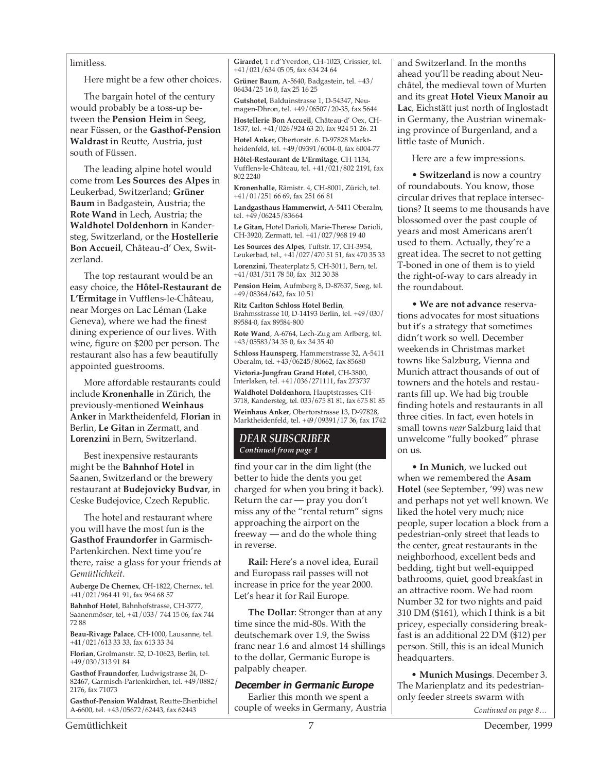#### limitless.

Here might be a few other choices.

The bargain hotel of the century would probably be a toss-up between the **Pension Heim** in Seeg, near Füssen, or the **Gasthof-Pension Waldrast** in Reutte, Austria, just south of Füssen.

The leading alpine hotel would come from **Les Sources des Alpes** in Leukerbad, Switzerland; **Grüner Baum** in Badgastein, Austria; the **Rote Wand** in Lech, Austria; the **Waldhotel Doldenhorn** in Kandersteg, Switzerland, or the **Hostellerie Bon Accueil**, Château-d' Oex, Switzerland.

The top restaurant would be an easy choice, the **Hôtel-Restaurant de L'Ermitage** in Vufflens-le-Château, near Morges on Lac Léman (Lake Geneva), where we had the finest dining experience of our lives. With wine, figure on \$200 per person. The restaurant also has a few beautifully appointed guestrooms.

More affordable restaurants could include **Kronenhalle** in Zürich, the previously-mentioned **Weinhaus Anker** in Marktheidenfeld, **Florian** in Berlin, **Le Gitan** in Zermatt, and **Lorenzini** in Bern, Switzerland.

Best inexpensive restaurants might be the **Bahnhof Hotel** in Saanen, Switzerland or the brewery restaurant at **Budejovicky Budvar**, in Ceske Budejovice, Czech Republic.

The hotel and restaurant where you will have the most fun is the **Gasthof Fraundorfer** in Garmisch-Partenkirchen. Next time you're there, raise a glass for your friends at *Gemütlichkeit*.

**Auberge De Chernex**, CH-1822, Chernex, tel. +41/021/964 41 91, fax 964 68 57

**Bahnhof Hotel**, Bahnhofstrasse, CH-3777, Saanenmöser, tel, +41/033/ 744 15 06, fax 744 72 88

**Beau-Rivage Palace**, CH-1000, Lausanne, tel. +41/021/613 33 33, fax 613 33 34

**Florian**, Grolmanstr. 52, D-10623, Berlin, tel. +49/030/313 91 84

**Gasthof Fraundorfer**, Ludwigstrasse 24, D-82467, Garmisch-Partenkirchen, tel. +49/0882/ 2176, fax 71073

**Gasthof-Pension Waldrast**, Reutte-Ehenbichel A-6600, tel. +43/05672/62443, fax 62443

**Girardet**, 1 r.d'Yverdon, CH-1023, Crissier, tel. +41/021/634 05 05, fax 634 24 64 **Grüner Baum**, A-5640, Badgastein, tel. +43/ 06434/25 16 0, fax 25 16 25

**Gutshotel**, Balduinstrasse 1, D-54347, Neumagen-Dhron, tel. +49/06507/20-35, fax 5644

**Hostellerie Bon Accueil**, Château-d' Oex, CH-1837, tel. +41/026/924 63 20, fax 924 51 26. 21

**Hotel Anker,** Obertorstr. 6. D-97828 Marktheidenfeld, tel. +49/09391/6004-0, fax 6004-77

**Hôtel-Restaurant de L'Ermitage**, CH-1134, Vufflens-le-Château, tel. +41/021/802 2191, fax 802 2240

**Kronenhalle**, Rämistr. 4, CH-8001, Zürich, tel. +41/01/251 66 69, fax 251 66 81

**Landgasthaus Hammerwirt,** A-5411 Oberalm, tel. +49/06245/83664

**Le Gitan,** Hotel Darioli, Marie-Therese Darioli, CH-3920, Zermatt, tel. +41/027/968 19 40

**Les Sources des Alpes**, Tuftstr. 17, CH-3954, Leukerbad, tel., +41/027/470 51 51, fax 470 35 33 **Lorenzini**, Theaterplatz 5, CH-3011, Bern, tel.

+41/031/311 78 50, fax 312 30 38 **Pension Heim**, Aufmberg 8, D-87637, Seeg, tel. +49/08364/642, fax 10 51

**Ritz Carlton Schloss Hotel Berlin**, Brahmsstrasse 10, D-14193 Berlin, tel. +49/030/ 89584-0, fax 89584-800

**Rote Wand**, A-6764, Lech-Zug am Arlberg, tel. +43/05583/34 35 0, fax 34 35 40

**Schloss Haunsperg**, Hammerstrasse 32, A-5411 Oberalm, tel. +43/06245/80662, fax 85680

**Victoria-Jungfrau Grand Hotel**, CH-3800, Interlaken, tel. +41/036/271111, fax 273737 **Waldhotel Doldenhorn**, Hauptstrasses, CH-3718, Kandersteg, tel. 033/675 81 81, fax 675 81 85 **Weinhaus Anker**, Obertorstrasse 13, D-97828, Marktheidenfeld, tel. +49/09391/17 36, fax 1742

#### *DEAR SUBSCRIBER Continued from page 1*

find your car in the dim light (the better to hide the dents you get charged for when you bring it back). Return the car — pray you don't miss any of the "rental return" signs approaching the airport on the freeway — and do the whole thing in reverse.

**Rail:** Here's a novel idea, Eurail and Europass rail passes will not increase in price for the year 2000. Let's hear it for Rail Europe.

**The Dollar**: Stronger than at any time since the mid-80s. With the deutschemark over 1.9, the Swiss franc near 1.6 and almost 14 shillings to the dollar, Germanic Europe is palpably cheaper.

#### **December in Germanic Europe**

Earlier this month we spent a couple of weeks in Germany, Austria and Switzerland. In the months ahead you'll be reading about Neuchâtel, the medieval town of Murten and its great **Hotel Vieux Manoir au Lac**, Eichstätt just north of Inglostadt in Germany, the Austrian winemaking province of Burgenland, and a little taste of Munich.

Here are a few impressions.

• **Switzerland** is now a country of roundabouts. You know, those circular drives that replace intersections? It seems to me thousands have blossomed over the past couple of years and most Americans aren't used to them. Actually, they're a great idea. The secret to not getting T-boned in one of them is to yield the right-of-way to cars already in the roundabout.

• **We are not advance** reservations advocates for most situations but it's a strategy that sometimes didn't work so well. December weekends in Christmas market towns like Salzburg, Vienna and Munich attract thousands of out of towners and the hotels and restaurants fill up. We had big trouble finding hotels and restaurants in all three cities. In fact, even hotels in small towns *near* Salzburg laid that unwelcome "fully booked" phrase on us.

• **In Munich**, we lucked out when we remembered the **Asam Hotel** (see September, '99) was new and perhaps not yet well known. We liked the hotel very much; nice people, super location a block from a pedestrian-only street that leads to the center, great restaurants in the neighborhood, excellent beds and bedding, tight but well-equipped bathrooms, quiet, good breakfast in an attractive room. We had room Number 32 for two nights and paid 310 DM (\$161), which I think is a bit pricey, especially considering breakfast is an additional 22 DM (\$12) per person. Still, this is an ideal Munich headquarters.

• **Munich Musings**. December 3. The Marienplatz and its pedestrianonly feeder streets swarm with

*Continued on page 8…*